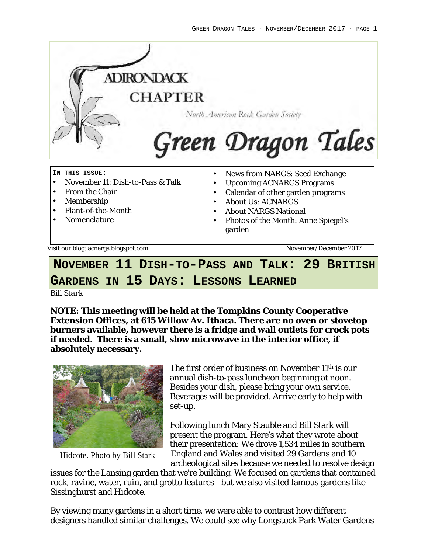

Visit our blog: acnargs.blogspot.com November/December 2017

# **NOVEMBER 11 DISH-TO-PASS AND TALK: 29 BRITISH GARDENS IN 15 DAYS: LESSONS LEARNED**

*Bill Stark*

**NOTE: This meeting will be held at the Tompkins County Cooperative Extension Offices, at 615 Willow Av. Ithaca. There are no oven or stovetop burners available, however there is a fridge and wall outlets for crock pots if needed. There is a small, slow microwave in the interior office, if absolutely necessary.**



Hidcote. Photo by Bill Stark

The first order of business on November 11th is our annual dish-to-pass luncheon beginning at noon. Besides your dish, please bring your own service. Beverages will be provided. Arrive early to help with set-up.

Following lunch Mary Stauble and Bill Stark will present the program. Here's what they wrote about their presentation: We drove 1,534 miles in southern England and Wales and visited 29 Gardens and 10 archeological sites because we needed to resolve design

issues for the Lansing garden that we're building. We focused on gardens that contained rock, ravine, water, ruin, and grotto features - but we also visited famous gardens like Sissinghurst and Hidcote.

By viewing many gardens in a short time, we were able to contrast how different designers handled similar challenges. We could see why Longstock Park Water Gardens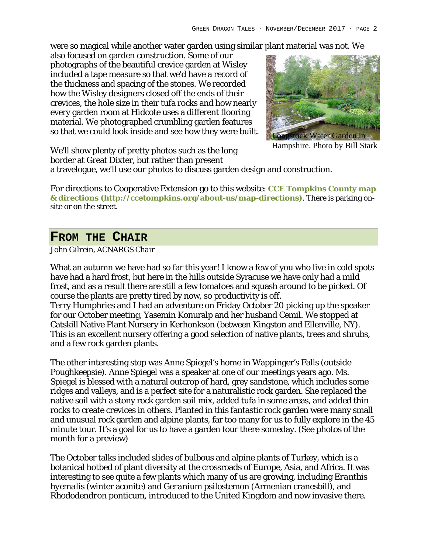were so magical while another water garden using similar plant material was not. We

also focused on garden construction. Some of our photographs of the beautiful crevice garden at Wisley included a tape measure so that we'd have a record of the thickness and spacing of the stones. We recorded how the Wisley designers closed off the ends of their crevices, the hole size in their tufa rocks and how nearly every garden room at Hidcote uses a different flooring material. We photographed crumbling garden features so that we could look inside and see how they were built.



Hampshire. Photo by Bill Stark

We'll show plenty of pretty photos such as the long border at Great Dixter, but rather than present

a travelogue, we'll use our photos to discuss garden design and construction.

For directions to Cooperative Extension go to this website: **CCE Tompkins County map & directions (http://ccetompkins.org/about-us/map-directions)**. There is parking onsite or on the street.

### **FROM THE CHAIR**

*John Gilrein, ACNARGS Chair*

What an autumn we have had so far this year! I know a few of you who live in cold spots have had a hard frost, but here in the hills outside Syracuse we have only had a mild frost, and as a result there are still a few tomatoes and squash around to be picked. Of course the plants are pretty tired by now, so productivity is off. Terry Humphries and I had an adventure on Friday October 20 picking up the speaker for our October meeting, Yasemin Konuralp and her husband Cemil. We stopped at

Catskill Native Plant Nursery in Kerhonkson (between Kingston and Ellenville, NY). This is an excellent nursery offering a good selection of native plants, trees and shrubs, and a few rock garden plants.

The other interesting stop was Anne Spiegel's home in Wappinger's Falls (outside Poughkeepsie). Anne Spiegel was a speaker at one of our meetings years ago. Ms. Spiegel is blessed with a natural outcrop of hard, grey sandstone, which includes some ridges and valleys, and is a perfect site for a naturalistic rock garden. She replaced the native soil with a stony rock garden soil mix, added tufa in some areas, and added thin rocks to create crevices in others. Planted in this fantastic rock garden were many small and unusual rock garden and alpine plants, far too many for us to fully explore in the 45 minute tour. It's a goal for us to have a garden tour there someday. (See photos of the month for a preview)

The October talks included slides of bulbous and alpine plants of Turkey, which is a botanical hotbed of plant diversity at the crossroads of Europe, Asia, and Africa. It was interesting to see quite a few plants which many of us are growing, including *Eranthis hyemalis* (winter aconite) and *Geranium psilostemon* (Armenian cranesbill), and *Rhododendron ponticum*, introduced to the United Kingdom and now invasive there.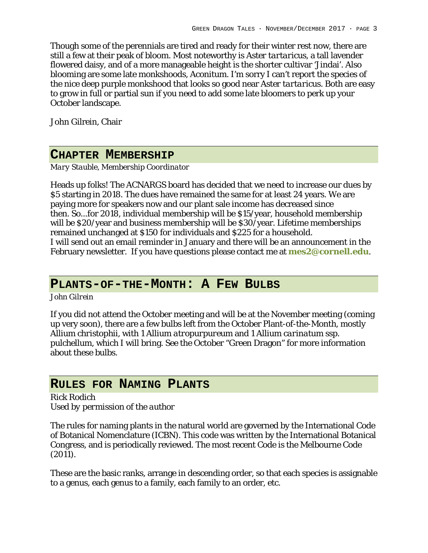Though some of the perennials are tired and ready for their winter rest now, there are still a few at their peak of bloom. Most noteworthy is *Aster tartaricus,* a tall lavender flowered daisy, and of a more manageable height is the shorter cultivar 'Jindai'. Also blooming are some late monkshoods, *Aconitum*. I'm sorry I can't report the species of the nice deep purple monkshood that looks so good near *Aster tartaricus*. Both are easy to grow in full or partial sun if you need to add some late bloomers to perk up your October landscape.

John Gilrein, Chair

### **CHAPTER MEMBERSHIP**

*Mary Stauble, Membership Coordinator*

Heads up folks! The ACNARGS board has decided that we need to increase our dues by \$5 starting in 2018. The dues have remained the same for at least 24 years. We are paying more for speakers now and our plant sale income has decreased since then. So...for 2018, individual membership will be \$15/year, household membership will be \$20/year and business membership will be \$30/year. Lifetime memberships remained unchanged at \$150 for individuals and \$225 for a household. I will send out an email reminder in January and there will be an announcement in the February newsletter. If you have questions please contact me at **mes2@cornell.edu**.

## **PLANTS-OF-THE-MONTH: A FEW BULBS**

*John Gilrein*

If you did not attend the October meeting and will be at the November meeting (coming up very soon), there are a few bulbs left from the October Plant-of-the-Month, mostly *Allium christophii,* with 1 *Allium atropurpureum* and 1 *Allium carinatum ssp. pulchellu*m, which I will bring. See the October "Green Dragon" for more information about these bulbs.

## **RULES FOR NAMING PLANTS**

*Rick Rodich Used by permission of the author*

The rules for naming plants in the natural world are governed by the International Code of Botanical Nomenclature (ICBN). This code was written by the International Botanical Congress, and is periodically reviewed. The most recent Code is the Melbourne Code (2011).

These are the basic ranks, arrange in descending order, so that each species is assignable to a genus, each genus to a family, each family to an order, etc.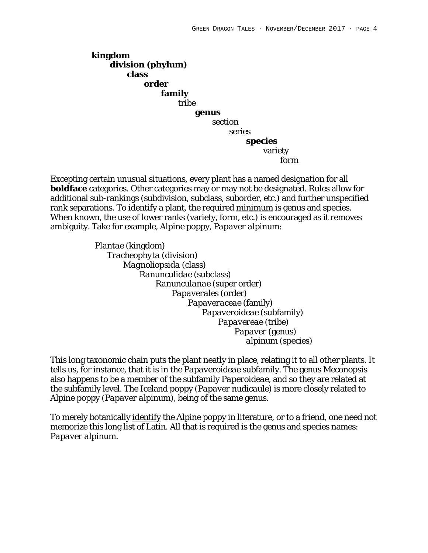**kingdom division (phylum) class order family** *tribe*  $\overline{t}$  **genus** section **Series Series species** variety *form in the contract of the contract of the contract of the contract of the contract of the contract of the contract of the contract of the contract of the contract of the contract of the contract of the contract of the* 

Excepting certain unusual situations, every plant has a named designation for all **boldface** categories. Other categories may or may not be designated. Rules allow for additional sub-rankings (subdivision, subclass, suborder, etc.) and further unspecified rank separations. To identify a plant, the required minimum is genus and species. When known, the use of lower ranks (variety, form, etc.) is encouraged as it removes ambiguity. Take for example, Alpine poppy, *Papaver alpinum*:

> *Plantae* (kingdom) *Tracheophyta* (division)  *Magnoliopsida* (class)  *Ranunculidae* (subclass)  *Ranunculanae* (super order)  *Papaverales* (order)  *Papaveraceae* (family)  *Papaveroideae* (subfamily)  *Papavereae* (tribe) *Papaver* (genus) *alpinum* (species)

This long taxonomic chain puts the plant neatly in place, relating it to all other plants. It tells us, for instance, that it is in the *Papaveroideae* subfamily. The genus *Meconopsis*  also happens to be a member of the subfamily *Paperoideae*, and so they are related at the subfamily level. The Iceland poppy (*Papaver nudicaule*) is more closely related to Alpine poppy (*Papaver alpinum*), being of the same genus.

To merely botanically identify the Alpine poppy in literature, or to a friend, one need not memorize this long list of Latin. All that is required is the genus and species names: *Papaver alpinum*.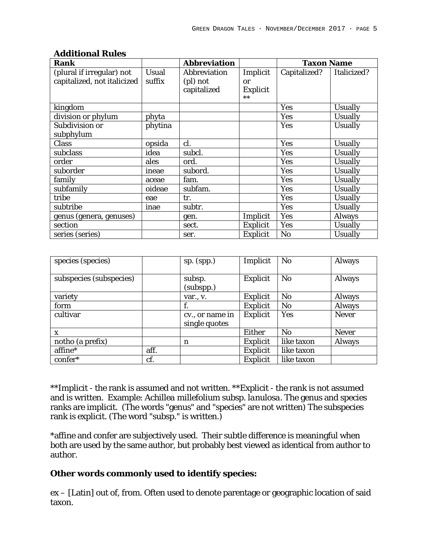| Rank                        |         | Abbreviation |          | <b>Taxon Name</b> |             |
|-----------------------------|---------|--------------|----------|-------------------|-------------|
| (plural if irregular) not   | Usual   | Abbreviation | Implicit | Capitalized?      | Italicized? |
| capitalized, not italicized | suffix  | (pl) not     | or       |                   |             |
|                             |         | capitalized  | Explicit |                   |             |
|                             |         |              | $**$     |                   |             |
| kingdom                     |         |              |          | Yes               | Usually     |
| division or phylum          | phyta   |              |          | Yes               | Usually     |
| Subdivision or              | phytina |              |          | Yes               | Usually     |
| subphylum                   |         |              |          |                   |             |
| Class                       | opsida  | cl.          |          | Yes               | Usually     |
| subclass                    | idea    | subcl.       |          | Yes               | Usually     |
| order                       | ales    | ord.         |          | Yes               | Usually     |
| suborder                    | ineae   | subord.      |          | Yes               | Usually     |
| family                      | aceae   | fam.         |          | Yes               | Usually     |
| subfamily                   | oideae  | subfam.      |          | Yes               | Usually     |
| tribe                       | eae     | tr.          |          | Yes               | Usually     |
| subtribe                    | inae    | subtr.       |          | Yes               | Usually     |
| genus (genera, genuses)     |         | gen.         | Implicit | Yes               | Always      |
| section                     |         | sect.        | Explicit | Yes               | Usually     |
| series (series)             |         | ser.         | Explicit | No                | Usually     |

#### **Additional Rules**

| species (species)       |      | $sp.$ (spp.)                     | Implicit | No         | Always |
|-------------------------|------|----------------------------------|----------|------------|--------|
| subspecies (subspecies) |      | subsp.<br>(subspp.)              | Explicit | No         | Always |
| variety                 |      | $var.$ , v.                      | Explicit | No         | Always |
| form                    |      |                                  | Explicit | <b>No</b>  | Always |
| cultivar                |      | cv., or name in<br>single quotes | Explicit | Yes        | Never  |
| X                       |      |                                  | Either   | No         | Never  |
| notho (a prefix)        |      | n                                | Explicit | like taxon | Always |
| affine*                 | aff. |                                  | Explicit | like taxon |        |
| confer*                 | cf.  |                                  | Explicit | like taxon |        |

\*\*Implicit - the rank is assumed and not written. \*\*Explicit - the rank is not assumed and is written. Example: *Achillea millefolium* subsp. *lanulosa.* The genus and species ranks are implicit. (The words "genus" and "species" are not written) The subspecies rank is explicit. (The word "subsp." is written.)

\*affine and confer are subjectively used. Their subtle difference is meaningful when both are used by the same author, but probably best viewed as identical from author to author.

**Other words commonly used to identify species:** 

ex – [Latin] out of, from. Often used to denote parentage or geographic location of said taxon.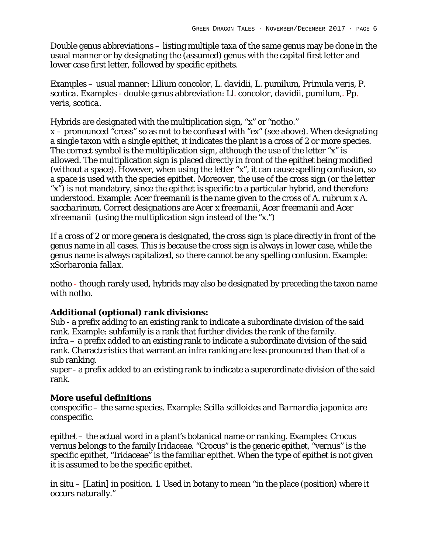Double genus abbreviations – listing multiple taxa of the same genus may be done in the usual manner or by designating the (assumed) genus with the capital first letter and lower case first letter, followed by specific epithets.

Examples – usual manner: *Lilium concolor, L. davidii, L. pumilum, Primula veris, P. scotica*. Examples - double genus abbreviation: *Ll. concolor, davidii, pumilum,. Pp. veris, scotica*.

Hybrids are designated with the multiplication sign, "x" or "notho." x – pronounced "cross" so as not to be confused with "ex" (see above). When designating a single taxon with a single epithet, it indicates the plant is a cross of 2 or more species. The correct symbol is the multiplication sign, although the use of the letter "x" is allowed. The multiplication sign is placed directly in front of the epithet being modified (without a space). However, when using the letter "x", it can cause spelling confusion, so a space is used with the species epithet. Moreover, the use of the cross sign (or the letter "x") is not mandatory, since the epithet is specific to a particular hybrid, and therefore understood. Example: *Acer freemanii* is the name given to the cross of *A. rubrum* x *A. saccharinum*. Correct designations are *Acer* x *freemanii, Acer freemanii* and *Acer*  x*freemanii* (using the multiplication sign instead of the "x.")

If a cross of 2 or more genera is designated, the cross sign is place directly in front of the genus name in all cases. This is because the cross sign is always in lower case, while the genus name is always capitalized, so there cannot be any spelling confusion. Example: x*Sorbaronia fallax*.

*notho* - though rarely used, hybrids may also be designated by preceding the taxon name with *notho*.

**Additional (optional) rank divisions:** 

Sub - a prefix adding to an existing rank to indicate a subordinate division of the said rank. Example: subfamily is a rank that further divides the rank of the family. infra – a prefix added to an existing rank to indicate a subordinate division of the said rank. Characteristics that warrant an infra ranking are less pronounced than that of a sub ranking.

super - a prefix added to an existing rank to indicate a superordinate division of the said rank.

**More useful definitions**

conspecific – the same species. Example: *Scilla scilloides* and *Barnardia japonica* are conspecific.

epithet – the actual word in a plant's botanical name or ranking. Examples: *Crocus vernus* belongs to the family Iridaceae. "Crocus" is the generic epithet, "vernus" is the specific epithet, "Iridaceae" is the familiar epithet. When the type of epithet is not given it is assumed to be the specific epithet.

in situ – [Latin] in position. 1. Used in botany to mean "in the place (position) where it occurs naturally."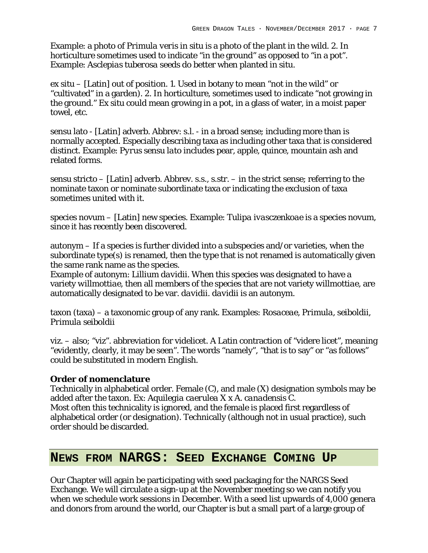Example: a photo of *Primula veris* in situ is a photo of the plant in the wild. 2. In horticulture sometimes used to indicate "in the ground" as opposed to "in a pot". Example: *Asclepias tuberosa* seeds do better when planted in situ.

ex situ – [Latin] out of position. 1. Used in botany to mean "not in the wild" or "cultivated" in a garden). 2. In horticulture, sometimes used to indicate "not growing in the ground." Ex situ could mean growing in a pot, in a glass of water, in a moist paper towel, etc.

sensu lato - [Latin] adverb. Abbrev: s.l. - in a broad sense; including more than is normally accepted. Especially describing taxa as including other taxa that is considered distinct. Example: *Pyrus sensu lato* includes pear, apple, quince, mountain ash and related forms.

sensu stricto – [Latin] adverb. Abbrev. s.s., s.str. – in the strict sense; referring to the nominate taxon or nominate subordinate taxa or indicating the exclusion of taxa sometimes united with it.

species novum – [Latin] new species. Example: *Tulipa ivasczenkoae* is a species novum, since it has recently been discovered.

autonym – If a species is further divided into a subspecies and/or varieties, when the subordinate type(s) is renamed, then the type that is not renamed is automatically given the same rank name as the species.

Example of autonym: *Lillium davidii*. When this species was designated to have a variety *willmottiae*, then all members of the species that are not variety *willmottiae,* are automatically designated to be var. *davidii. davidii* is an autonym.

taxon (taxa) – a taxonomic group of any rank. Examples: *Rosaceae, Primula, seiboldii, Primula seiboldii*

viz. – also; "viz". abbreviation for videlicet. A Latin contraction of "videre licet", meaning "evidently, clearly, it may be seen". The words "namely", "that is to say" or "as follows" could be substituted in modern English.

#### **Order of nomenclature**

Technically in alphabetical order. Female (C), and male (X) designation symbols may be added after the taxon. Ex: *Aquilegia caerulea* X x *A. canadensis* C.

Most often this technicality is ignored, and the female is placed first regardless of alphabetical order (or designation). Technically (although not in usual practice), such order should be discarded.

## **NEWS FROM NARGS: SEED EXCHANGE COMING UP**

Our Chapter will again be participating with seed packaging for the NARGS Seed Exchange. We will circulate a sign-up at the November meeting so we can notify you when we schedule work sessions in December. With a seed list upwards of 4,000 genera and donors from around the world, our Chapter is but a small part of a large group of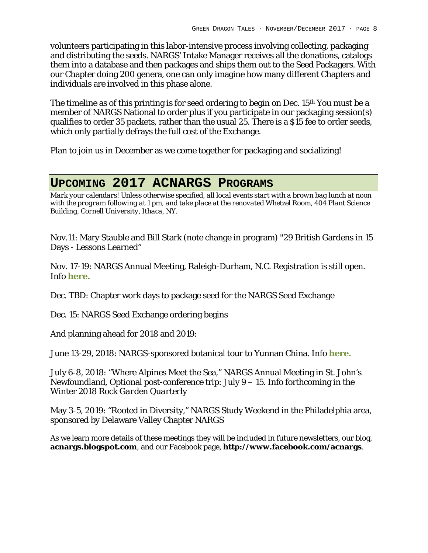volunteers participating in this labor-intensive process involving collecting, packaging and distributing the seeds. NARGS' Intake Manager receives all the donations, catalogs them into a database and then packages and ships them out to the Seed Packagers. With our Chapter doing 200 genera, one can only imagine how many different Chapters and individuals are involved in this phase alone.

The timeline as of this printing is for seed ordering to begin on Dec. 15<sup>th</sup> You must be a member of NARGS National to order plus if you participate in our packaging session(s) qualifies to order 35 packets, rather than the usual 25. There is a \$15 fee to order seeds, which only partially defrays the full cost of the Exchange.

Plan to join us in December as we come together for packaging and socializing!

# **UPCOMING 2017 ACNARGS PROGRAMS**

*Mark your calendars! Unless otherwise specified, all local events start with a brown bag lunch at noon with the program following at 1 pm, and take place at the renovated Whetzel Room, 404 Plant Science Building, Cornell University, Ithaca, NY.*

Nov.11: Mary Stauble and Bill Stark (note change in program) "29 British Gardens in 15 Days - Lessons Learned"

Nov. 17-19: NARGS Annual Meeting, Raleigh-Durham, N.C. Registration is still open. Info **here.**

Dec. TBD: Chapter work days to package seed for the NARGS Seed Exchange

Dec. 15: NARGS Seed Exchange ordering begins

And planning ahead for 2018 and 2019:

June 13-29, 2018: NARGS-sponsored botanical tour to Yunnan China. Info **here.**

July 6-8, 2018: "Where Alpines Meet the Sea," NARGS Annual Meeting in St. John's Newfoundland, Optional post-conference trip: July 9 – 15. Info forthcoming in the Winter 2018 *Rock Garden Quarterly*

May 3-5, 2019: "Rooted in Diversity," NARGS Study Weekend in the Philadelphia area, sponsored by Delaware Valley Chapter NARGS

As we learn more details of these meetings they will be included in future newsletters, our blog, **acnargs.blogspot.com**, and our Facebook page, **http://www.facebook.com/acnargs**.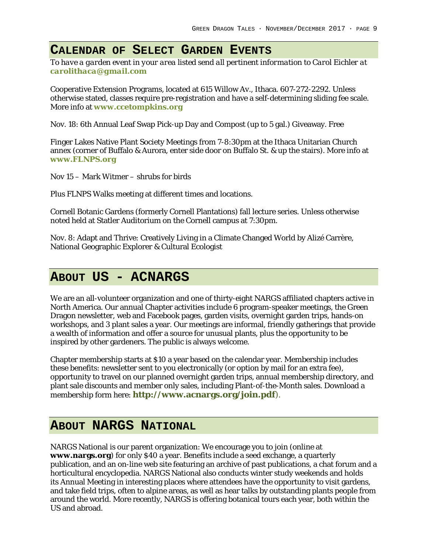### **CALENDAR OF SELECT GARDEN EVENTS**

*To have a garden event in your area listed send all pertinent information to Carol Eichler at carolithaca@gmail.com*

Cooperative Extension Programs, located at 615 Willow Av., Ithaca. 607-272-2292. Unless otherwise stated, classes require pre-registration and have a self-determining sliding fee scale. More info at **www.ccetompkins.org**

Nov. 18: 6th Annual Leaf Swap Pick-up Day and Compost (up to 5 gal.) Giveaway. Free

Finger Lakes Native Plant Society Meetings from 7-8:30pm at the Ithaca Unitarian Church annex (corner of Buffalo & Aurora, enter side door on Buffalo St. & up the stairs). More info at **www.FLNPS.org**

Nov 15 – Mark Witmer – shrubs for birds

Plus FLNPS Walks meeting at different times and locations.

Cornell Botanic Gardens (formerly Cornell Plantations) fall lecture series. Unless otherwise noted held at Statler Auditorium on the Cornell campus at 7:30pm.

Nov. 8: Adapt and Thrive: Creatively Living in a Climate Changed World by Alizé Carrère, National Geographic Explorer & Cultural Ecologist

## **ABOUT US - ACNARGS**

We are an all-volunteer organization and one of thirty-eight NARGS affiliated chapters active in North America. Our annual Chapter activities include 6 program-speaker meetings, the Green Dragon newsletter, web and Facebook pages, garden visits, overnight garden trips, hands-on workshops, and 3 plant sales a year. Our meetings are informal, friendly gatherings that provide a wealth of information and offer a source for unusual plants, plus the opportunity to be inspired by other gardeners. The public is always welcome.

Chapter membership starts at \$10 a year based on the calendar year. Membership includes these benefits: newsletter sent to you electronically (or option by mail for an extra fee), opportunity to travel on our planned overnight garden trips, annual membership directory, and plant sale discounts and member only sales, including Plant-of-the-Month sales. Download a membership form here: **http://www.acnargs.org/join.pdf**).

## **ABOUT NARGS NATIONAL**

NARGS National is our parent organization: We encourage you to join (online at **www.nargs.org**) for only \$40 a year. Benefits include a seed exchange, a quarterly publication, and an on-line web site featuring an archive of past publications, a chat forum and a horticultural encyclopedia. NARGS National also conducts winter study weekends and holds its Annual Meeting in interesting places where attendees have the opportunity to visit gardens, and take field trips, often to alpine areas, as well as hear talks by outstanding plants people from around the world. More recently, NARGS is offering botanical tours each year, both within the US and abroad.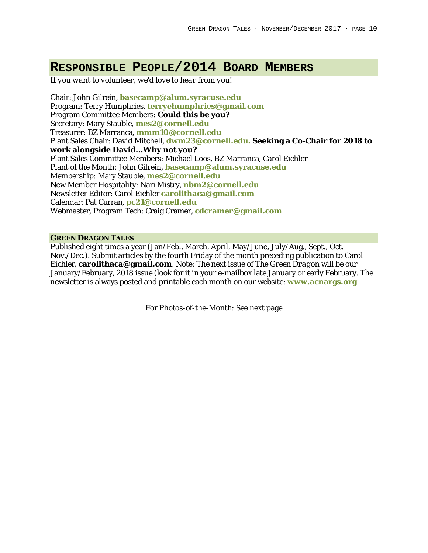## **RESPONSIBLE PEOPLE/2014 BOARD MEMBERS**

*If you want to volunteer, we'd love to hear from you!*

Chair: John Gilrein, **basecamp@alum.syracuse.edu** Program: Terry Humphries, **terryehumphries@gmail.com** Program Committee Members: **Could this be you?** Secretary: Mary Stauble, **mes2@cornell.edu** Treasurer: BZ Marranca, **mmm10@cornell.edu** Plant Sales Chair: David Mitchell, **dwm23@cornell.edu. Seeking a Co-Chair for 2018 to work alongside David…Why not you?** Plant Sales Committee Members: Michael Loos, BZ Marranca, Carol Eichler Plant of the Month: John Gilrein, **basecamp@alum.syracuse.edu** Membership: Mary Stauble, **mes2@cornell.edu** New Member Hospitality: Nari Mistry, **nbm2@cornell.edu** Newsletter Editor: Carol Eichler **carolithaca@gmail.com** Calendar: Pat Curran, **pc21@cornell.edu** Webmaster, Program Tech: Craig Cramer, **cdcramer@gmail.com**

#### **GREEN DRAGON TALES**

Published eight times a year (Jan/Feb., March, April, May/June, July/Aug., Sept., Oct. Nov./Dec.). Submit articles by the fourth Friday of the month preceding publication to Carol Eichler, **carolithaca@gmail.com**. Note: The next issue of *The Green Dragon* will be our January/February, 2018 issue (look for it in your e-mailbox late January or early February. The newsletter is always posted and printable each month on our website: **www.acnargs.org**

For Photos-of-the-Month: See next page